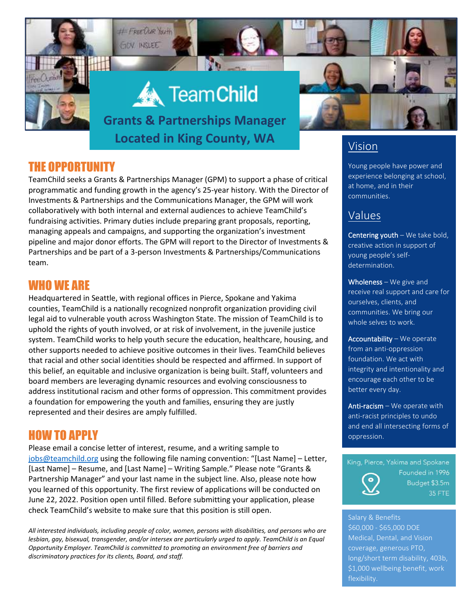



# **M** Team Child

**Grants & Partnerships Manager Located in King County, WA** Vision

## THE OPPORTUNITY

TeamChild seeks a Grants & Partnerships Manager (GPM) to support a phase of critical programmatic and funding growth in the agency's 25-year history. With the Director of Investments & Partnerships and the Communications Manager, the GPM will work collaboratively with both internal and external audiences to achieve TeamChild's fundraising activities. Primary duties include preparing grant proposals, reporting, managing appeals and campaigns, and supporting the organization's investment pipeline and major donor efforts. The GPM will report to the Director of Investments & Partnerships and be part of a 3-person Investments & Partnerships/Communications team.

## WHO WE ARE

Headquartered in Seattle, with regional offices in Pierce, Spokane and Yakima counties, TeamChild is a nationally recognized nonprofit organization providing civil legal aid to vulnerable youth across Washington State. The mission of TeamChild is to uphold the rights of youth involved, or at risk of involvement, in the juvenile justice system. TeamChild works to help youth secure the education, healthcare, housing, and other supports needed to achieve positive outcomes in their lives. TeamChild believes that racial and other social identities should be respected and affirmed. In support of this belief, an equitable and inclusive organization is being built. Staff, volunteers and board members are leveraging dynamic resources and evolving consciousness to address institutional racism and other forms of oppression. This commitment provides a foundation for empowering the youth and families, ensuring they are justly represented and their desires are amply fulfilled.

## HOW TO APPLY

Please email a concise letter of interest, resume, and a writing sample to [jobs@teamchild.org](mailto:jobs@teamchild.org) using the following file naming convention: "[Last Name] – Letter, [Last Name] – Resume, and [Last Name] – Writing Sample." Please note "Grants & Partnership Manager" and your last name in the subject line. Also, please note how you learned of this opportunity. The first review of applications will be conducted on June 22, 2022. Position open until filled. Before submitting your application, please check TeamChild's website to make sure that this position is still open.

*All interested individuals, including people of color, women, persons with disabilities, and persons who are lesbian, gay, bisexual, transgender, and/or intersex are particularly urged to apply. TeamChild is an Equal Opportunity Employer. TeamChild is committed to promoting an environment free of barriers and discriminatory practices for its clients, Board, and staff.*

Young people have power and experience belonging at school, at home, and in their communities.

## Values

**Centering youth**  $-$  We take bold, creative action in support of young people's selfdetermination.

**Wholeness** – We give and receive real support and care for ourselves, clients, and communities. We bring our whole selves to work.

Accountability – We operate from an anti-oppression foundation. We act with integrity and intentionality and encourage each other to be better every day.

Anti-racism - We operate with anti-racist principles to undo and end all intersecting forms of oppression.

King, Pierce, Yakima and Spokane



Founded in 1996 Budget \$3.5m 35 FTE

Salary & Benefits \$60,000 - \$65,000 DOE Medical, Dental, and Vision coverage, generous PTO, long/short term disability, 403b, \$1,000 wellbeing benefit, work flexibility.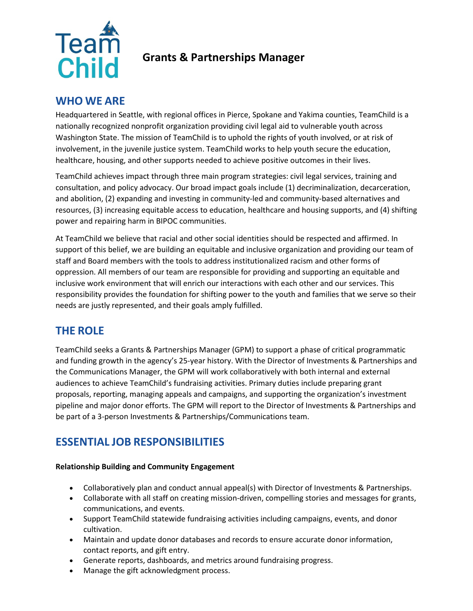

## **Grants & Partnerships Manager**

## **WHO WE ARE**

Headquartered in Seattle, with regional offices in Pierce, Spokane and Yakima counties, TeamChild is a nationally recognized nonprofit organization providing civil legal aid to vulnerable youth across Washington State. The mission of TeamChild is to uphold the rights of youth involved, or at risk of involvement, in the juvenile justice system. TeamChild works to help youth secure the education, healthcare, housing, and other supports needed to achieve positive outcomes in their lives.

TeamChild achieves impact through three main program strategies: civil legal services, training and consultation, and policy advocacy. Our broad impact goals include (1) decriminalization, decarceration, and abolition, (2) expanding and investing in community-led and community-based alternatives and resources, (3) increasing equitable access to education, healthcare and housing supports, and (4) shifting power and repairing harm in BIPOC communities.

At TeamChild we believe that racial and other social identities should be respected and affirmed. In support of this belief, we are building an equitable and inclusive organization and providing our team of staff and Board members with the tools to address institutionalized racism and other forms of oppression. All members of our team are responsible for providing and supporting an equitable and inclusive work environment that will enrich our interactions with each other and our services. This responsibility provides the foundation for shifting power to the youth and families that we serve so their needs are justly represented, and their goals amply fulfilled.

## **THE ROLE**

TeamChild seeks a Grants & Partnerships Manager (GPM) to support a phase of critical programmatic and funding growth in the agency's 25-year history. With the Director of Investments & Partnerships and the Communications Manager, the GPM will work collaboratively with both internal and external audiences to achieve TeamChild's fundraising activities. Primary duties include preparing grant proposals, reporting, managing appeals and campaigns, and supporting the organization's investment pipeline and major donor efforts. The GPM will report to the Director of Investments & Partnerships and be part of a 3-person Investments & Partnerships/Communications team.

## **ESSENTIAL JOB RESPONSIBILITIES**

### **Relationship Building and Community Engagement**

- Collaboratively plan and conduct annual appeal(s) with Director of Investments & Partnerships.
- Collaborate with all staff on creating mission-driven, compelling stories and messages for grants, communications, and events.
- Support TeamChild statewide fundraising activities including campaigns, events, and donor cultivation.
- Maintain and update donor databases and records to ensure accurate donor information, contact reports, and gift entry.
- Generate reports, dashboards, and metrics around fundraising progress.
- Manage the gift acknowledgment process.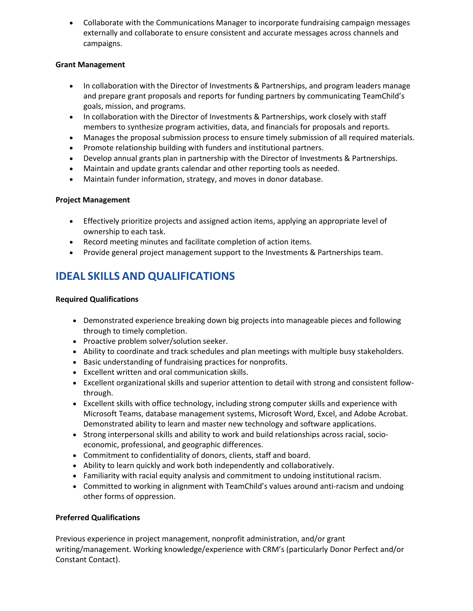• Collaborate with the Communications Manager to incorporate fundraising campaign messages externally and collaborate to ensure consistent and accurate messages across channels and campaigns.

#### **Grant Management**

- In collaboration with the Director of Investments & Partnerships, and program leaders manage and prepare grant proposals and reports for funding partners by communicating TeamChild's goals, mission, and programs.
- In collaboration with the Director of Investments & Partnerships, work closely with staff members to synthesize program activities, data, and financials for proposals and reports.
- Manages the proposal submission process to ensure timely submission of all required materials.
- Promote relationship building with funders and institutional partners.
- Develop annual grants plan in partnership with the Director of Investments & Partnerships.
- Maintain and update grants calendar and other reporting tools as needed.
- Maintain funder information, strategy, and moves in donor database.

### **Project Management**

- Effectively prioritize projects and assigned action items, applying an appropriate level of ownership to each task.
- Record meeting minutes and facilitate completion of action items.
- Provide general project management support to the Investments & Partnerships team.

## **IDEAL SKILLS AND QUALIFICATIONS**

#### **Required Qualifications**

- Demonstrated experience breaking down big projects into manageable pieces and following through to timely completion.
- Proactive problem solver/solution seeker.
- Ability to coordinate and track schedules and plan meetings with multiple busy stakeholders.
- Basic understanding of fundraising practices for nonprofits.
- Excellent written and oral communication skills.
- Excellent organizational skills and superior attention to detail with strong and consistent followthrough.
- Excellent skills with office technology, including strong computer skills and experience with Microsoft Teams, database management systems, Microsoft Word, Excel, and Adobe Acrobat. Demonstrated ability to learn and master new technology and software applications.
- Strong interpersonal skills and ability to work and build relationships across racial, socioeconomic, professional, and geographic differences.
- Commitment to confidentiality of donors, clients, staff and board.
- Ability to learn quickly and work both independently and collaboratively.
- Familiarity with racial equity analysis and commitment to undoing institutional racism.
- Committed to working in alignment with TeamChild's values around anti-racism and undoing other forms of oppression.

### **Preferred Qualifications**

Previous experience in project management, nonprofit administration, and/or grant writing/management. Working knowledge/experience with CRM's (particularly Donor Perfect and/or Constant Contact).